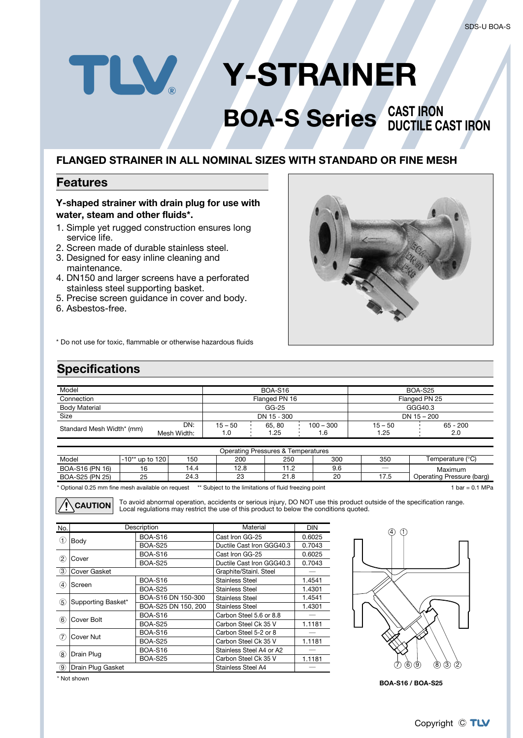# TLV. **Y-STRAINER**

## **BOA-S Series** CAST IRON **DUCTILE CAST IRON**

#### **FLANGED STRAINER IN ALL NOMINAL SIZES WITH STANDARD OR FINE MESH**

#### **Features**

#### **Y-shaped strainer with drain plug for use with water, steam and other fluids\*.**

- 1. Simple yet rugged construction ensures long service life.
- 2. Screen made of durable stainless steel.
- 3. Designed for easy inline cleaning and maintenance.
- 4. DN150 and larger screens have a perforated stainless steel supporting basket.
- 5. Precise screen guidance in cover and body.
- 6. Asbestos-free.



\* Do not use for toxic, flammable or otherwise hazardous fluids

### **Specifications**

| Model                     |                    | <b>BOA-S16</b>    |               | BOA-S25             |                   |                   |  |
|---------------------------|--------------------|-------------------|---------------|---------------------|-------------------|-------------------|--|
| Connection                |                    | Flanged PN 16     |               | Flanged PN 25       |                   |                   |  |
| <b>Body Material</b>      |                    | GG-25             |               | GGG40.3             |                   |                   |  |
| Size                      |                    | DN 15 - 300       |               | DN 15 - 200         |                   |                   |  |
| Standard Mesh Width* (mm) | DN:<br>Mesh Width: | $15 - 50$<br>۵. ا | 65.80<br>1.25 | $100 - 300$<br>6. ا | $15 - 50$<br>1.25 | $65 - 200$<br>2.0 |  |

| Operating Pressures & Temperatures |                          |      |      |      |     |      |                           |  |  |  |
|------------------------------------|--------------------------|------|------|------|-----|------|---------------------------|--|--|--|
| Model                              | ' up to 120 l<br>⊥-10**  | 150  | 200  | 250  | 300 | 350  | Temperature (°C)          |  |  |  |
| BOA-S16 (PN 16)                    | $\overline{\phantom{a}}$ | 14.4 | 12.8 |      | 9.6 |      | Maximum                   |  |  |  |
| BOA-S25 (PN 25)                    | 25                       | 24.3 | 23   | 21.8 | 20  | 17.5 | Operating Pressure (barg) |  |  |  |
|                                    |                          |      |      |      |     |      |                           |  |  |  |

\* Optional 0.25 mm fine mesh available on request \*\* Subject to the limitations of fluid freezing point 1 bar = 0.1 MPa

To avoid abnormal operation, accidents or serious injury, DO NOT use this product outside of the specification range. **CAUTION** Local regulations may restrict the use of this product to below the conditions quoted.

| No.               |                    | Description         | Material                  | <b>DIN</b>       |
|-------------------|--------------------|---------------------|---------------------------|------------------|
| (1)               |                    | <b>BOA-S16</b>      | Cast Iron GG-25           | 0.6025           |
|                   | Body               | <b>BOA-S25</b>      | Ductile Cast Iron GGG40.3 | 0.7043           |
|                   | Cover              | <b>BOA-S16</b>      | Cast Iron GG-25           | 0.6025           |
| $^\mathrm{(2)}$   |                    | <b>BOA-S25</b>      | Ductile Cast Iron GGG40.3 | 0.7043           |
| $\circled{3}$     | Cover Gasket       |                     | Graphite/Stainl. Steel    |                  |
|                   |                    | <b>BOA-S16</b>      | <b>Stainless Steel</b>    | 1.4541           |
| $\left( 4\right)$ | Screen             | <b>BOA-S25</b>      | <b>Stainless Steel</b>    | 1.4301           |
| 5                 | Supporting Basket* | BOA-S16 DN 150-300  | Stainless Steel           | 1.4541           |
|                   |                    | BOA-S25 DN 150, 200 | Stainless Steel           | 1.4301           |
|                   | Cover Bolt         | <b>BOA-S16</b>      | Carbon Steel 5.6 or 8.8   |                  |
| 6)                |                    | <b>BOA-S25</b>      | Carbon Steel Ck 35 V      | 1.1181           |
| 7                 | Cover Nut          | <b>BOA-S16</b>      | Carbon Steel 5-2 or 8     |                  |
|                   |                    | <b>BOA-S25</b>      | Carbon Steel Ck 35 V      | 1.1181<br>1.1181 |
|                   | Drain Plug         | <b>BOA-S16</b>      | Stainless Steel A4 or A2  |                  |
| (8)               |                    | <b>BOA-S25</b>      | Carbon Steel Ck 35 V      |                  |
| 9                 | Drain Plug Gasket  |                     | Stainless Steel A4        |                  |



**BOA-S16 / BOA-S25**

\* Not shown